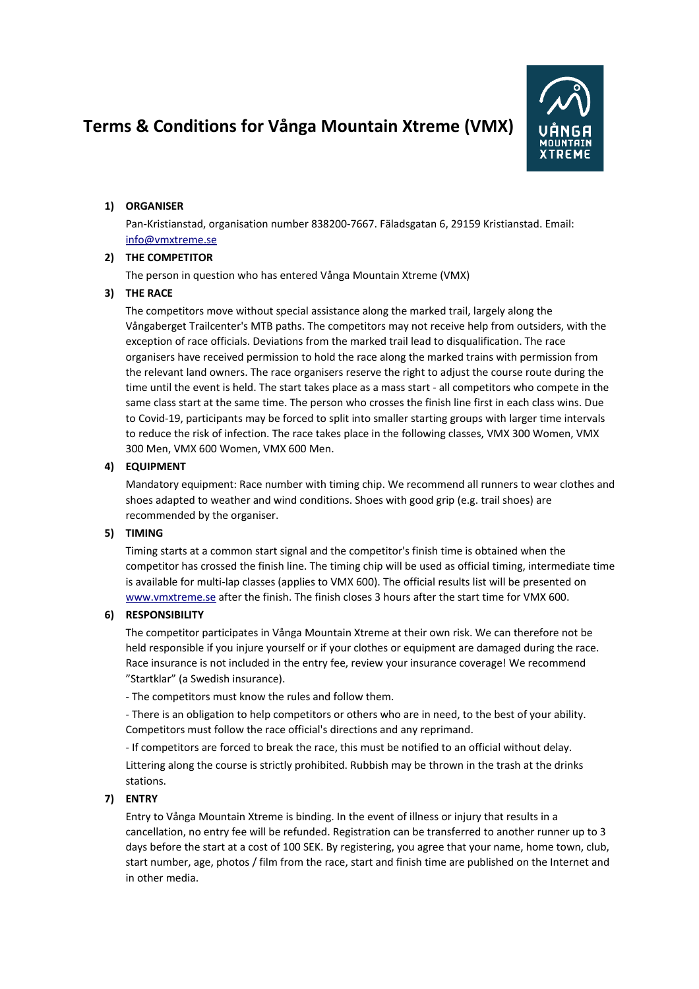# **Terms & Conditions for Vånga Mountain Xtreme (VMX)**



# **1) ORGANISER**

Pan-Kristianstad, organisation number 838200-7667. Fäladsgatan 6, 29159 Kristianstad. Email: [info@vmxtreme.se](about:blank)

## **2) THE COMPETITOR**

The person in question who has entered Vånga Mountain Xtreme (VMX)

## **3) THE RACE**

The competitors move without special assistance along the marked trail, largely along the Vångaberget Trailcenter's MTB paths. The competitors may not receive help from outsiders, with the exception of race officials. Deviations from the marked trail lead to disqualification. The race organisers have received permission to hold the race along the marked trains with permission from the relevant land owners. The race organisers reserve the right to adjust the course route during the time until the event is held. The start takes place as a mass start - all competitors who compete in the same class start at the same time. The person who crosses the finish line first in each class wins. Due to Covid-19, participants may be forced to split into smaller starting groups with larger time intervals to reduce the risk of infection. The race takes place in the following classes, VMX 300 Women, VMX 300 Men, VMX 600 Women, VMX 600 Men.

## **4) EQUIPMENT**

Mandatory equipment: Race number with timing chip. We recommend all runners to wear clothes and shoes adapted to weather and wind conditions. Shoes with good grip (e.g. trail shoes) are recommended by the organiser.

## **5) TIMING**

Timing starts at a common start signal and the competitor's finish time is obtained when the competitor has crossed the finish line. The timing chip will be used as official timing, intermediate time is available for multi-lap classes (applies to VMX 600). The official results list will be presented on [www.vmxtreme.se](http://www.vmxtreme.se/) after the finish. The finish closes 3 hours after the start time for VMX 600.

## **6) RESPONSIBILITY**

The competitor participates in Vånga Mountain Xtreme at their own risk. We can therefore not be held responsible if you injure yourself or if your clothes or equipment are damaged during the race. Race insurance is not included in the entry fee, review your insurance coverage! We recommend "Startklar" (a Swedish insurance).

- The competitors must know the rules and follow them.

- There is an obligation to help competitors or others who are in need, to the best of your ability. Competitors must follow the race official's directions and any reprimand.

- If competitors are forced to break the race, this must be notified to an official without delay. Littering along the course is strictly prohibited. Rubbish may be thrown in the trash at the drinks stations.

# **7) ENTRY**

Entry to Vånga Mountain Xtreme is binding. In the event of illness or injury that results in a cancellation, no entry fee will be refunded. Registration can be transferred to another runner up to 3 days before the start at a cost of 100 SEK. By registering, you agree that your name, home town, club, start number, age, photos / film from the race, start and finish time are published on the Internet and in other media.